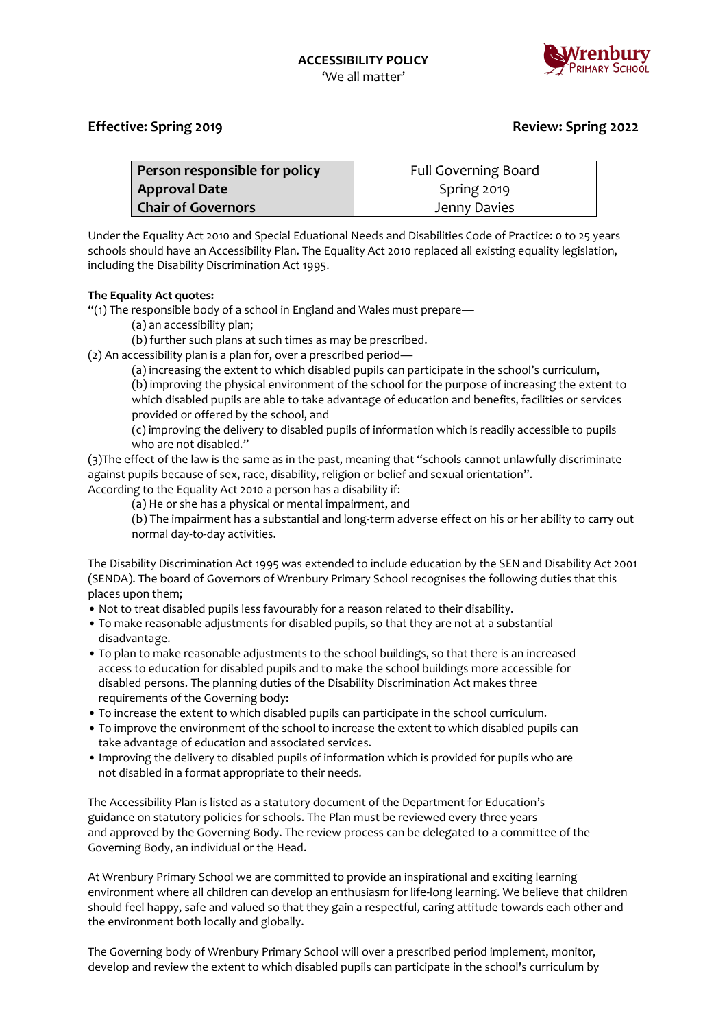

# **Effective: Spring 2019 Review: Spring 2022**

| Person responsible for policy | <b>Full Governing Board</b> |
|-------------------------------|-----------------------------|
| <b>Approval Date</b>          | Spring 2019                 |
| <b>Chair of Governors</b>     | Jenny Davies                |

Under the Equality Act 2010 and Special Eduational Needs and Disabilities Code of Practice: 0 to 25 years schools should have an Accessibility Plan. The Equality Act 2010 replaced all existing equality legislation, including the Disability Discrimination Act 1995.

## **The Equality Act quotes:**

"(1) The responsible body of a school in England and Wales must prepare—

(a) an accessibility plan;

(b) further such plans at such times as may be prescribed.

(2) An accessibility plan is a plan for, over a prescribed period—

(a) increasing the extent to which disabled pupils can participate in the school's curriculum, (b) improving the physical environment of the school for the purpose of increasing the extent to which disabled pupils are able to take advantage of education and benefits, facilities or services provided or offered by the school, and

(c) improving the delivery to disabled pupils of information which is readily accessible to pupils who are not disabled."

(3)The effect of the law is the same as in the past, meaning that "schools cannot unlawfully discriminate against pupils because of sex, race, disability, religion or belief and sexual orientation".

According to the Equality Act 2010 a person has a disability if:

(a) He or she has a physical or mental impairment, and

(b) The impairment has a substantial and long-term adverse effect on his or her ability to carry out normal day-to-day activities.

The Disability Discrimination Act 1995 was extended to include education by the SEN and Disability Act 2001 (SENDA). The board of Governors of Wrenbury Primary School recognises the following duties that this places upon them;

- Not to treat disabled pupils less favourably for a reason related to their disability.
- To make reasonable adjustments for disabled pupils, so that they are not at a substantial disadvantage.
- To plan to make reasonable adjustments to the school buildings, so that there is an increased access to education for disabled pupils and to make the school buildings more accessible for disabled persons. The planning duties of the Disability Discrimination Act makes three requirements of the Governing body:
- To increase the extent to which disabled pupils can participate in the school curriculum.
- To improve the environment of the school to increase the extent to which disabled pupils can take advantage of education and associated services.
- Improving the delivery to disabled pupils of information which is provided for pupils who are not disabled in a format appropriate to their needs.

The Accessibility Plan is listed as a statutory document of the Department for Education's guidance on statutory policies for schools. The Plan must be reviewed every three years and approved by the Governing Body. The review process can be delegated to a committee of the Governing Body, an individual or the Head.

At Wrenbury Primary School we are committed to provide an inspirational and exciting learning environment where all children can develop an enthusiasm for life-long learning. We believe that children should feel happy, safe and valued so that they gain a respectful, caring attitude towards each other and the environment both locally and globally.

The Governing body of Wrenbury Primary School will over a prescribed period implement, monitor, develop and review the extent to which disabled pupils can participate in the school's curriculum by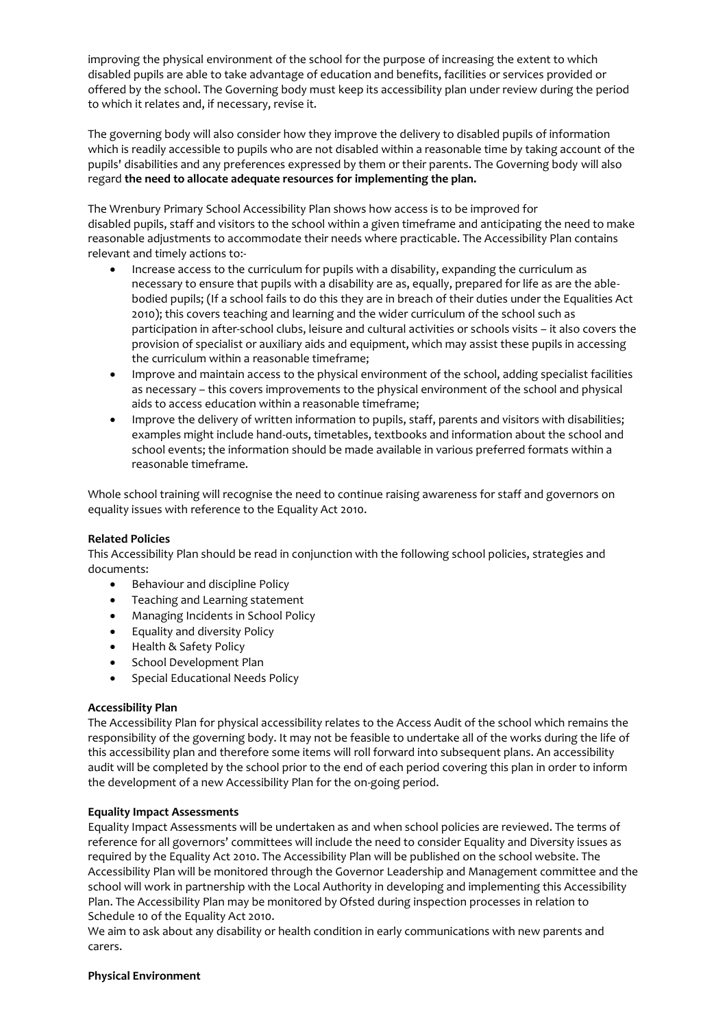improving the physical environment of the school for the purpose of increasing the extent to which disabled pupils are able to take advantage of education and benefits, facilities or services provided or offered by the school. The Governing body must keep its accessibility plan under review during the period to which it relates and, if necessary, revise it.

The governing body will also consider how they improve the delivery to disabled pupils of information which is readily accessible to pupils who are not disabled within a reasonable time by taking account of the pupils' disabilities and any preferences expressed by them or their parents. The Governing body will also regard **the need to allocate adequate resources for implementing the plan.** 

The Wrenbury Primary School Accessibility Plan shows how access is to be improved for disabled pupils, staff and visitors to the school within a given timeframe and anticipating the need to make reasonable adjustments to accommodate their needs where practicable. The Accessibility Plan contains relevant and timely actions to:-

- Increase access to the curriculum for pupils with a disability, expanding the curriculum as necessary to ensure that pupils with a disability are as, equally, prepared for life as are the ablebodied pupils; (If a school fails to do this they are in breach of their duties under the Equalities Act 2010); this covers teaching and learning and the wider curriculum of the school such as participation in after-school clubs, leisure and cultural activities or schools visits – it also covers the provision of specialist or auxiliary aids and equipment, which may assist these pupils in accessing the curriculum within a reasonable timeframe;
- Improve and maintain access to the physical environment of the school, adding specialist facilities as necessary – this covers improvements to the physical environment of the school and physical aids to access education within a reasonable timeframe;
- Improve the delivery of written information to pupils, staff, parents and visitors with disabilities; examples might include hand-outs, timetables, textbooks and information about the school and school events; the information should be made available in various preferred formats within a reasonable timeframe.

Whole school training will recognise the need to continue raising awareness for staff and governors on equality issues with reference to the Equality Act 2010.

#### **Related Policies**

This Accessibility Plan should be read in conjunction with the following school policies, strategies and documents:

- Behaviour and discipline Policy
- Teaching and Learning statement
- Managing Incidents in School Policy
- Equality and diversity Policy
- Health & Safety Policy
- School Development Plan
- Special Educational Needs Policy

#### **Accessibility Plan**

The Accessibility Plan for physical accessibility relates to the Access Audit of the school which remains the responsibility of the governing body. It may not be feasible to undertake all of the works during the life of this accessibility plan and therefore some items will roll forward into subsequent plans. An accessibility audit will be completed by the school prior to the end of each period covering this plan in order to inform the development of a new Accessibility Plan for the on-going period.

#### **Equality Impact Assessments**

Equality Impact Assessments will be undertaken as and when school policies are reviewed. The terms of reference for all governors' committees will include the need to consider Equality and Diversity issues as required by the Equality Act 2010. The Accessibility Plan will be published on the school website. The Accessibility Plan will be monitored through the Governor Leadership and Management committee and the school will work in partnership with the Local Authority in developing and implementing this Accessibility Plan. The Accessibility Plan may be monitored by Ofsted during inspection processes in relation to Schedule 10 of the Equality Act 2010.

We aim to ask about any disability or health condition in early communications with new parents and carers.

#### **Physical Environment**